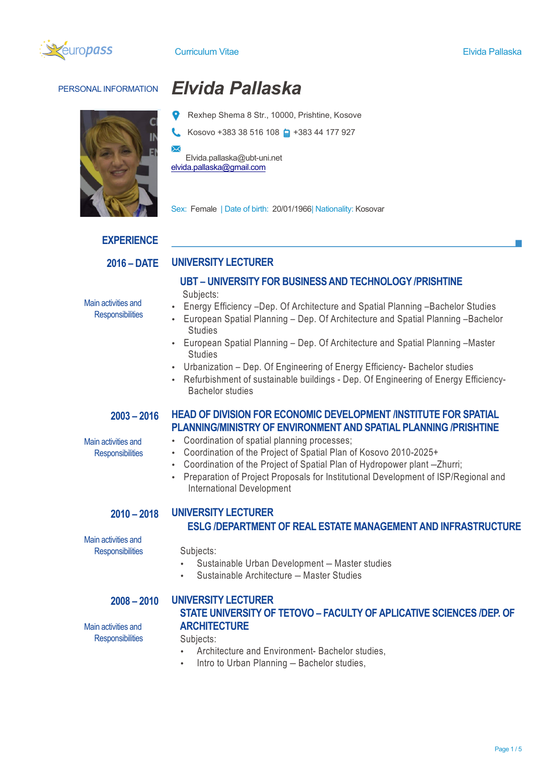



# PERSONAL INFORMATION *Elvida Pallaska*

- Rexhep Shema 8 Str., 10000, Prishtine, Kosove
- Kosovo +383 38 516 108 + 383 44 177 927

Elvida.pallaska@ubt-uni.net elvida.pallaska@gmail.com

**UNIVERSITY LECTURER**

Sex: Female | Date of birth: 20/01/1966| Nationality: Kosovar

### **EXPERIENCE**

**2016 – DATE**

Main activities and **Responsibilities** 

- **UBT – UNIVERSITY FOR BUSINESS AND TECHNOLOGY /PRISHTINE** Subjects:
- Energy Efficiency –Dep. Of Architecture and Spatial Planning –Bachelor Studies
- European Spatial Planning Dep. Of Architecture and Spatial Planning –Bachelor **Studies**
- European Spatial Planning Dep. Of Architecture and Spatial Planning –Master **Studies**
- Urbanization Dep. Of Engineering of Energy Efficiency- Bachelor studies
- Refurbishment of sustainable buildings Dep. Of Engineering of Energy Efficiency-Bachelor studies

**HEAD OF DIVISION FOR ECONOMIC DEVELOPMENT /INSTITUTE FOR SPATIAL PLANNING/MINISTRY OF ENVIRONMENT AND SPATIAL PLANNING /PRISHTINE**

### **2003 – 2016**

Main activities and **Responsibilities** 

- Coordination of spatial planning processes;
- Coordination of the Project of Spatial Plan of Kosovo 2010-2025+
- Coordination of the Project of Spatial Plan of Hydropower plant –Zhurri;
- Preparation of Project Proposals for Institutional Development of ISP/Regional and International Development

### **2010 – 2018 UNIVERSITY LECTURER ESLG /DEPARTMENT OF REAL ESTATE MANAGEMENT AND INFRASTRUCTURE**

Main activities and **Responsibilities** 

Subjects:

- Sustainable Urban Development Master studies
- Sustainable Architecture Master Studies

### **2008 – 2010**

### **UNIVERSITY LECTURER STATE UNIVERSITY OF TETOVO – FACULTY OF APLICATIVE SCIENCES /DEP. OF ARCHITECTURE**

Main activities and **Responsibilities** 

Subjects:

- Architecture and Environment- Bachelor studies,
- Intro to Urban Planning Bachelor studies,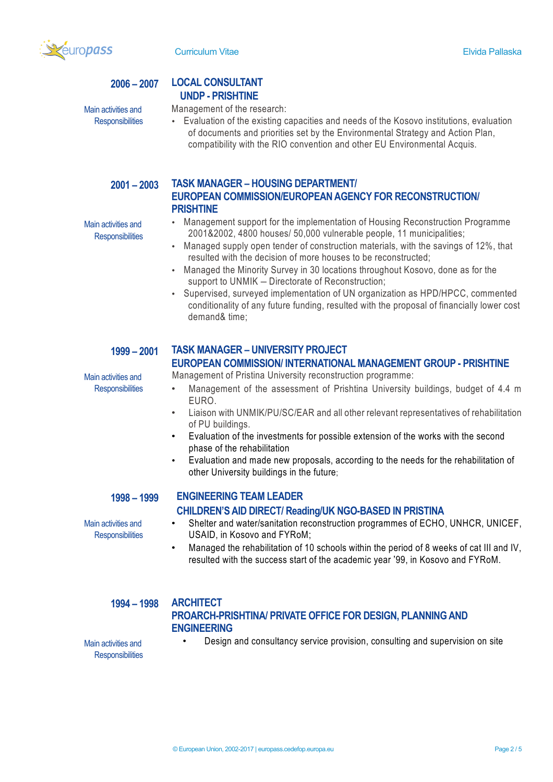

Main activities and **Responsibilities** 

Main activities and **Responsibilities** 

Main activities and **Responsibilities** 

### **2006 – 2007 LOCAL CONSULTANT UNDP - PRISHTINE**

### Management of the research:

• Evaluation of the existing capacities and needs of the Kosovo institutions, evaluation of documents and priorities set by the Environmental Strategy and Action Plan, compatibility with the RIO convention and other EU Environmental Acquis.

### **2001 – 2003 TASK MANAGER – HOUSING DEPARTMENT/ EUROPEAN COMMISSION/EUROPEAN AGENCY FOR RECONSTRUCTION/ PRISHTINE**

- Management support for the implementation of Housing Reconstruction Programme 2001&2002, 4800 houses/ 50,000 vulnerable people, 11 municipalities;
- Managed supply open tender of construction materials, with the savings of 12%, that resulted with the decision of more houses to be reconstructed;
- Managed the Minority Survey in 30 locations throughout Kosovo, done as for the support to UNMIK – Directorate of Reconstruction;
- Supervised, surveyed implementation of UN organization as HPD/HPCC, commented conditionality of any future funding, resulted with the proposal of financially lower cost demand& time;

### **1999 – 2001**

# **TASK MANAGER – UNIVERSITY PROJECT**

# **EUROPEAN COMMISSION/ INTERNATIONAL MANAGEMENT GROUP - PRISHTINE**

Management of Pristina University reconstruction programme:

- Management of the assessment of Prishtina University buildings, budget of 4.4 m EURO.
- Liaison with UNMIK/PU/SC/EAR and all other relevant representatives of rehabilitation of PU buildings.
- Evaluation of the investments for possible extension of the works with the second phase of the rehabilitation
- Evaluation and made new proposals, according to the needs for the rehabilitation of other University buildings in the future;

### **1998 – 1999**

Main activities and **Responsibilities** 

### **ENGINEERING TEAM LEADER CHILDREN'S AID DIRECT/ Reading/UK NGO-BASED IN PRISTINA**

- Shelter and water/sanitation reconstruction programmes of ECHO, UNHCR, UNICEF, USAID, in Kosovo and FYRoM;
- Managed the rehabilitation of 10 schools within the period of 8 weeks of cat III and IV, resulted with the success start of the academic year '99, in Kosovo and FYRoM.

### **1994 – 1998**

### **ARCHITECT PROARCH-PRISHTINA/ PRIVATE OFFICE FOR DESIGN, PLANNING AND ENGINEERING**

Main activities and

• Design and consultancy service provision, consulting and supervision on site

**Responsibilities** 

© European Union, 2002-2017 | europass.cedefop.europa.eu Page 2 / 5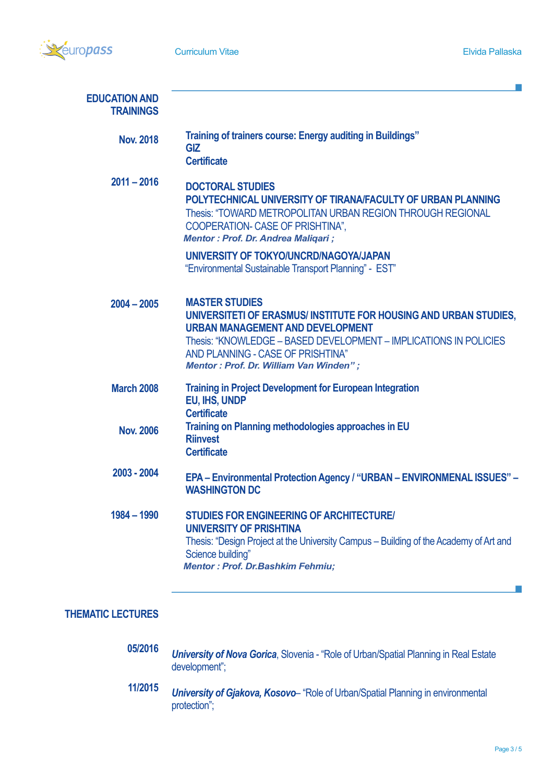

T.

| <b>EDUCATION AND</b><br><b>TRAININGS</b> |                                                                                                                                                                                                                                                                                                 |
|------------------------------------------|-------------------------------------------------------------------------------------------------------------------------------------------------------------------------------------------------------------------------------------------------------------------------------------------------|
| <b>Nov. 2018</b>                         | Training of trainers course: Energy auditing in Buildings"<br><b>GIZ</b><br><b>Certificate</b>                                                                                                                                                                                                  |
| $2011 - 2016$                            | <b>DOCTORAL STUDIES</b><br>POLYTECHNICAL UNIVERSITY OF TIRANA/FACULTY OF URBAN PLANNING<br>Thesis: "TOWARD METROPOLITAN URBAN REGION THROUGH REGIONAL<br><b>COOPERATION- CASE OF PRISHTINA",</b><br><b>Mentor: Prof. Dr. Andrea Maligari;</b>                                                   |
|                                          | UNIVERSITY OF TOKYO/UNCRD/NAGOYA/JAPAN<br>"Environmental Sustainable Transport Planning" - EST"                                                                                                                                                                                                 |
| $2004 - 2005$                            | <b>MASTER STUDIES</b><br>UNIVERSITETI OF ERASMUS/INSTITUTE FOR HOUSING AND URBAN STUDIES,<br><b>URBAN MANAGEMENT AND DEVELOPMENT</b><br>Thesis: "KNOWLEDGE - BASED DEVELOPMENT - IMPLICATIONS IN POLICIES<br>AND PLANNING - CASE OF PRISHTINA"<br><b>Mentor: Prof. Dr. William Van Winden";</b> |
| <b>March 2008</b>                        | <b>Training in Project Development for European Integration</b><br>EU, IHS, UNDP<br><b>Certificate</b>                                                                                                                                                                                          |
| <b>Nov. 2006</b>                         | Training on Planning methodologies approaches in EU<br><b>Riinvest</b><br><b>Certificate</b>                                                                                                                                                                                                    |
| 2003 - 2004                              | EPA - Environmental Protection Agency / "URBAN - ENVIRONMENAL ISSUES" -<br><b>WASHINGTON DC</b>                                                                                                                                                                                                 |
| $1984 - 1990$                            | <b>STUDIES FOR ENGINEERING OF ARCHITECTURE/</b><br>UNIVERSITY OF PRISHTINA<br>Thesis: "Design Project at the University Campus – Building of the Academy of Art and<br>Science building"<br><b>Mentor: Prof. Dr.Bashkim Fehmiu;</b>                                                             |

# **THEMATIC LECTURES**

- **05/2016** *University of Nova Gorica*, Slovenia - "Role of Urban/Spatial Planning in Real Estate development";
- **11/2015** *University of Gjakova, Kosovo*– "Role of Urban/Spatial Planning in environmental protection";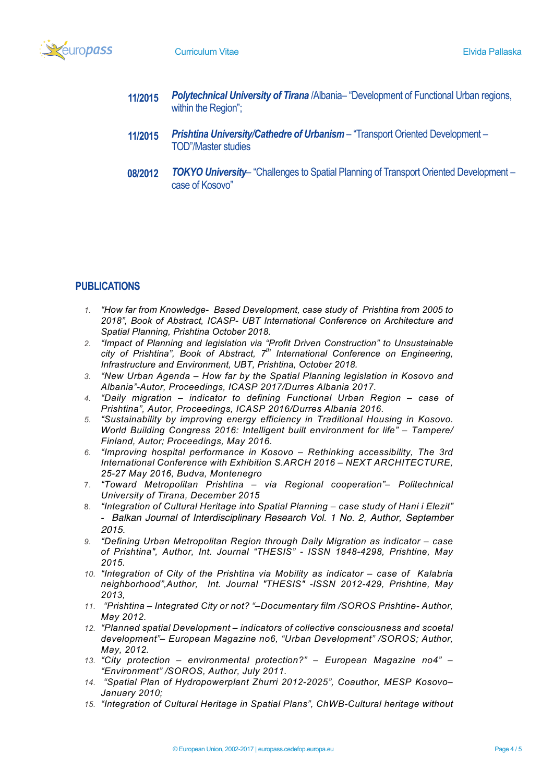

- **11/2015** *Polytechnical University of Tirana* /Albania– "Development of Functional Urban regions, within the Region";
- **11/2015** *Prishtina University/Cathedre of Urbanism* – "Transport Oriented Development – TOD"/Master studies
- **08/2012** *TOKYO University*– "Challenges to Spatial Planning of Transport Oriented Development – case of Kosovo"

# **PUBLICATIONS**

- *1. "How far from Knowledge- Based Development, case study of Prishtina from 2005 to 2018", Book of Abstract, ICASP- UBT International Conference on Architecture and Spatial Planning, Prishtina October 2018.*
- *2. "Impact of Planning and legislation via "Profit Driven Construction" to Unsustainable city of Prishtina", Book of Abstract, 7th International Conference on Engineering, Infrastructure and Environment, UBT, Prishtina, October 2018.*
- *3. "New Urban Agenda – How far by the Spatial Planning legislation in Kosovo and Albania"-Autor, Proceedings, ICASP 2017/Durres Albania 2017.*
- *4. "Daily migration – indicator to defining Functional Urban Region – case of Prishtina", Autor, Proceedings, ICASP 2016/Durres Albania 2016.*
- *5. "Sustainability by improving energy efficiency in Traditional Housing in Kosovo. World Building Congress 2016: Intelligent built environment for life" – Tampere/ Finland, Autor; Proceedings, May 2016.*
- *6. "Improving hospital performance in Kosovo – Rethinking accessibility, The 3rd International Conference with Exhibition S.ARCH 2016 – NEXT ARCHITECTURE, 25-27 May 2016, Budva, Montenegro*
- 7. *"Toward Metropolitan Prishtina – via Regional cooperation"– Politechnical University of Tirana, December 2015*
- 8. *"Integration of Cultural Heritage into Spatial Planning – case study of Hani i Elezit" - Balkan Journal of Interdisciplinary Research Vol. 1 No. 2, Author, September 2015.*
- *9. "Defining Urban Metropolitan Region through Daily Migration as indicator – case of Prishtina", Author, Int. Journal "THESIS" - ISSN 1848-4298, Prishtine, May 2015.*
- *10. "Integration of City of the Prishtina via Mobility as indicator – case of Kalabria neighborhood",Author, Int. Journal "THESIS" -ISSN 2012-429, Prishtine, May 2013,*
- *11. "Prishtina – Integrated City or not? "–Documentary film /SOROS Prishtine- Author, May 2012.*
- *12. "Planned spatial Development – indicators of collective consciousness and scoetal development"– European Magazine no6, "Urban Development" /SOROS; Author, May, 2012.*
- *13. "City protection – environmental protection?" – European Magazine no4" – "Environment" /SOROS, Author, July 2011.*
- *14. "Spatial Plan of Hydropowerplant Zhurri 2012-2025", Coauthor, MESP Kosovo– January 2010;*
- *15. "Integration of Cultural Heritage in Spatial Plans", ChWB-Cultural heritage without*